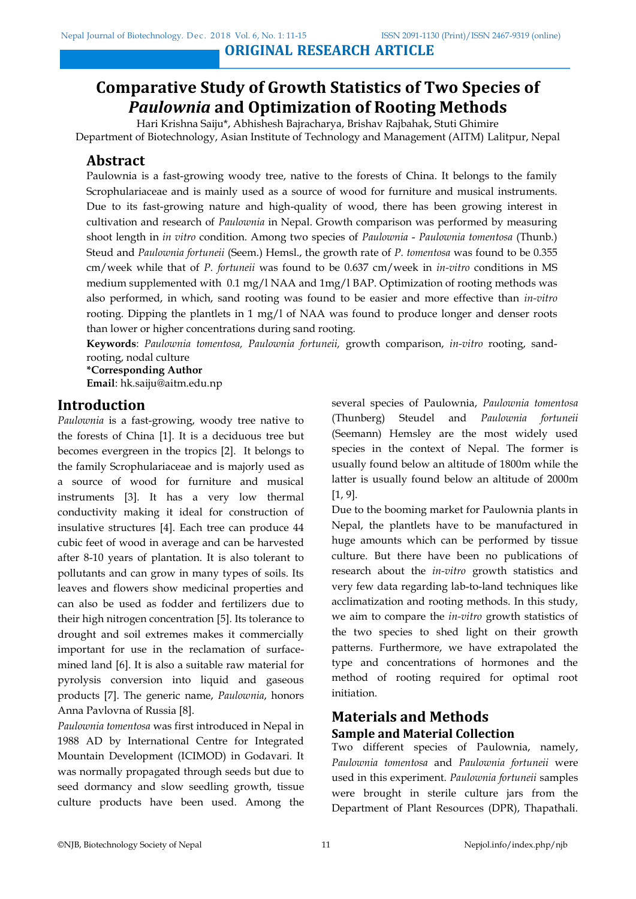# **Comparative Study of Growth Statistics of Two Species of**  *Paulownia* **and Optimization of Rooting Methods**

Hari Krishna Saiju\*, Abhishesh Bajracharya, Brishav Rajbahak, Stuti Ghimire

Department of Biotechnology, Asian Institute of Technology and Management (AITM) Lalitpur, Nepal

# **Abstract**

Paulownia is a fast-growing woody tree, native to the forests of China. It belongs to the family Scrophulariaceae and is mainly used as a source of wood for furniture and musical instruments. Due to its fast-growing nature and high-quality of wood, there has been growing interest in cultivation and research of *Paulownia* in Nepal. Growth comparison was performed by measuring shoot length in *in vitro* condition. Among two species of *Paulownia* - *Paulownia tomentosa* (Thunb.) Steud and *Paulownia fortuneii* (Seem.) Hemsl., the growth rate of *P. tomentosa* was found to be 0.355 cm/week while that of *P. fortuneii* was found to be 0.637 cm/week in *in-vitro* conditions in MS medium supplemented with 0.1 mg/l NAA and 1mg/l BAP. Optimization of rooting methods was also performed, in which, sand rooting was found to be easier and more effective than *in-vitro* rooting. Dipping the plantlets in 1 mg/l of NAA was found to produce longer and denser roots than lower or higher concentrations during sand rooting.

**Keywords**: *Paulownia tomentosa, Paulownia fortuneii,* growth comparison, *in-vitro* rooting, sandrooting, nodal culture

**\*Corresponding Author Email**: hk.saiju@aitm.edu.np

# **Introduction**

*Paulownia* is a fast-growing, woody tree native to the forests of China [1]. It is a deciduous tree but becomes evergreen in the tropics [2]. It belongs to the family Scrophulariaceae and is majorly used as a source of wood for furniture and musical instruments [3]. It has a very low thermal conductivity making it ideal for construction of insulative structures [4]. Each tree can produce 44 cubic feet of wood in average and can be harvested after 8-10 years of plantation. It is also tolerant to pollutants and can grow in many types of soils. Its leaves and flowers show medicinal properties and can also be used as fodder and fertilizers due to their high nitrogen concentration [5]. Its tolerance to drought and soil extremes makes it commercially important for use in the reclamation of surfacemined land [6]. It is also a suitable raw material for pyrolysis conversion into liquid and gaseous products [7]. The generic name, *Paulownia*, honors Anna Pavlovna of Russia [8].

*Paulownia tomentosa* was first introduced in Nepal in 1988 AD by International Centre for Integrated Mountain Development (ICIMOD) in Godavari. It was normally propagated through seeds but due to seed dormancy and slow seedling growth, tissue culture products have been used. Among the several species of Paulownia, *Paulownia tomentosa* (Thunberg) Steudel and *Paulownia fortuneii* (Seemann) Hemsley are the most widely used species in the context of Nepal. The former is usually found below an altitude of 1800m while the latter is usually found below an altitude of 2000m [1, 9].

Due to the booming market for Paulownia plants in Nepal, the plantlets have to be manufactured in huge amounts which can be performed by tissue culture. But there have been no publications of research about the *in-vitro* growth statistics and very few data regarding lab-to-land techniques like acclimatization and rooting methods. In this study, we aim to compare the *in-vitro* growth statistics of the two species to shed light on their growth patterns. Furthermore, we have extrapolated the type and concentrations of hormones and the method of rooting required for optimal root initiation.

# **Materials and Methods Sample and Material Collection**

Two different species of Paulownia, namely, *Paulownia tomentosa* and *Paulownia fortuneii* were used in this experiment. *Paulownia fortuneii* samples were brought in sterile culture jars from the Department of Plant Resources (DPR), Thapathali.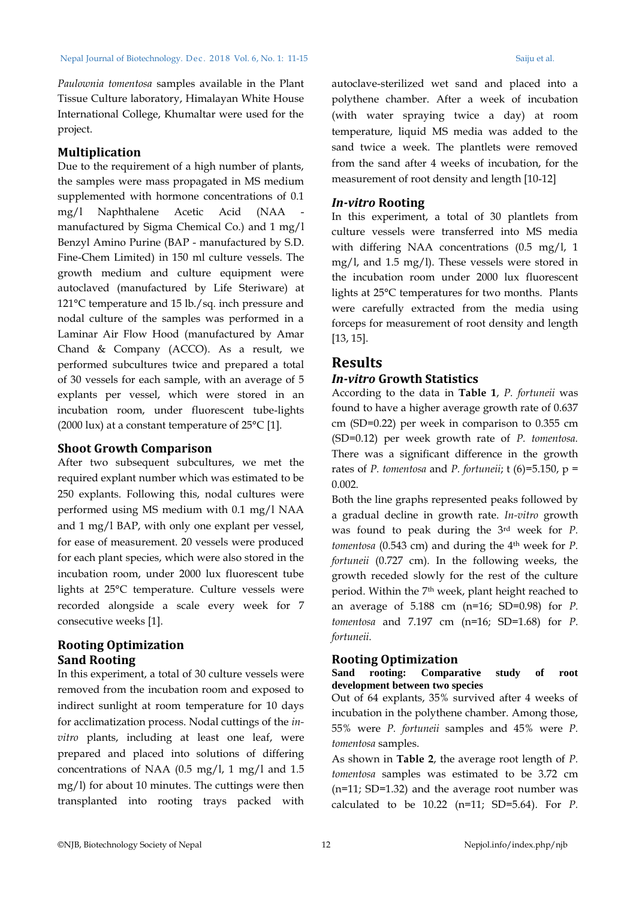*Paulownia tomentosa* samples available in the Plant Tissue Culture laboratory, Himalayan White House International College, Khumaltar were used for the project.

#### **Multiplication**

Due to the requirement of a high number of plants, the samples were mass propagated in MS medium supplemented with hormone concentrations of 0.1 mg/l Naphthalene Acetic Acid (NAA manufactured by Sigma Chemical Co.) and 1 mg/l Benzyl Amino Purine (BAP - manufactured by S.D. Fine-Chem Limited) in 150 ml culture vessels. The growth medium and culture equipment were autoclaved (manufactured by Life Steriware) at 121°C temperature and 15 lb./sq. inch pressure and nodal culture of the samples was performed in a Laminar Air Flow Hood (manufactured by Amar Chand & Company (ACCO). As a result, we performed subcultures twice and prepared a total of 30 vessels for each sample, with an average of 5 explants per vessel, which were stored in an incubation room, under fluorescent tube-lights (2000 lux) at a constant temperature of  $25^{\circ}$ C [1].

#### **Shoot Growth Comparison**

After two subsequent subcultures, we met the required explant number which was estimated to be 250 explants. Following this, nodal cultures were performed using MS medium with 0.1 mg/l NAA and 1 mg/l BAP, with only one explant per vessel, for ease of measurement. 20 vessels were produced for each plant species, which were also stored in the incubation room, under 2000 lux fluorescent tube lights at 25°C temperature. Culture vessels were recorded alongside a scale every week for 7 consecutive weeks [1].

## **Rooting Optimization Sand Rooting**

In this experiment, a total of 30 culture vessels were removed from the incubation room and exposed to indirect sunlight at room temperature for 10 days for acclimatization process. Nodal cuttings of the *invitro* plants, including at least one leaf, were prepared and placed into solutions of differing concentrations of NAA (0.5 mg/l, 1 mg/l and 1.5 mg/l) for about 10 minutes. The cuttings were then transplanted into rooting trays packed with

autoclave-sterilized wet sand and placed into a polythene chamber. After a week of incubation (with water spraying twice a day) at room temperature, liquid MS media was added to the sand twice a week. The plantlets were removed from the sand after 4 weeks of incubation, for the measurement of root density and length [10-12]

#### *In-vitro* **Rooting**

In this experiment, a total of 30 plantlets from culture vessels were transferred into MS media with differing NAA concentrations (0.5 mg/l, 1 mg/l, and 1.5 mg/l). These vessels were stored in the incubation room under 2000 lux fluorescent lights at 25°C temperatures for two months. Plants were carefully extracted from the media using forceps for measurement of root density and length [13, 15].

# **Results**

## *In-vitro* **Growth Statistics**

According to the data in **Table 1**, *P. fortuneii* was found to have a higher average growth rate of 0.637 cm (SD=0.22) per week in comparison to 0.355 cm (SD=0.12) per week growth rate of *P. tomentosa.* There was a significant difference in the growth rates of *P. tomentosa* and *P. fortuneii*; t (6)=5.150, p = 0.002.

Both the line graphs represented peaks followed by a gradual decline in growth rate. *In-vitro* growth was found to peak during the 3rd week for *P. tomentosa* (0.543 cm) and during the 4<sup>th</sup> week for *P*. *fortuneii* (0.727 cm). In the following weeks, the growth receded slowly for the rest of the culture period. Within the 7<sup>th</sup> week, plant height reached to an average of 5.188 cm (n=16; SD=0.98) for *P. tomentosa* and 7.197 cm (n=16; SD=1.68) for *P. fortuneii.*

## **Rooting Optimization**

#### **Sand rooting: Comparative study of root development between two species**

Out of 64 explants, 35% survived after 4 weeks of incubation in the polythene chamber. Among those, 55% were *P. fortuneii* samples and 45% were *P. tomentosa* samples.

As shown in **Table 2**, the average root length of *P. tomentosa* samples was estimated to be 3.72 cm (n=11; SD=1.32) and the average root number was calculated to be 10.22 (n=11; SD=5.64). For *P.*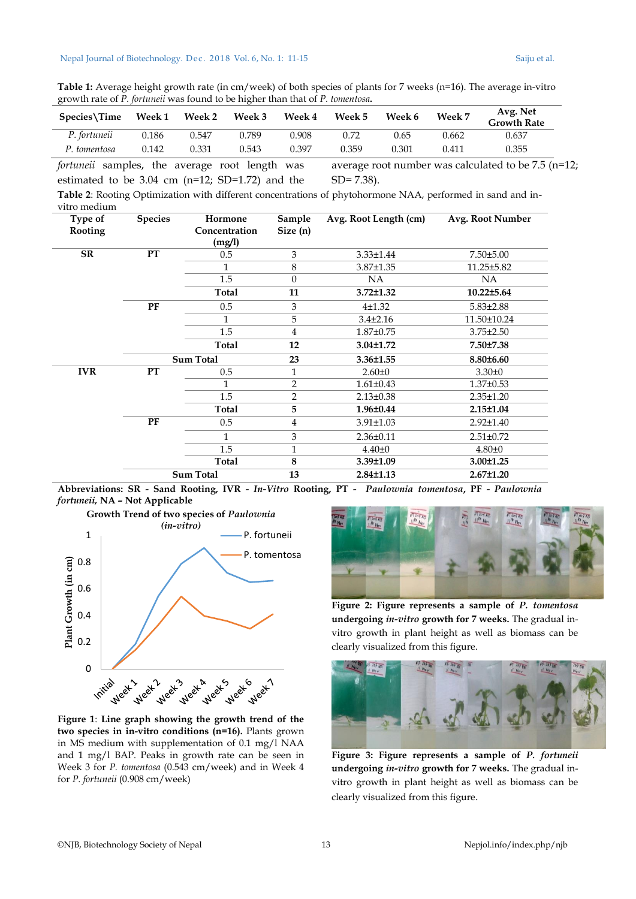**Table 1:** Average height growth rate (in cm/week) of both species of plants for 7 weeks (n=16). The average in-vitro growth rate of *P. fortuneii* was found to be higher than that of *P. tomentosa***.**

| $S$ pecies $\Im$ Time | Week 1 | <b>Week 2</b> | <b>Week 3</b> | <b>Week 4</b> | <b>Week 5</b> | Week 6 | Week 7 | Avg. Net<br><b>Growth Rate</b> |
|-----------------------|--------|---------------|---------------|---------------|---------------|--------|--------|--------------------------------|
| P. fortuneii          | 0.186  | 0.547         | 0.789         | 0.908         | 0.72          | 0.65   | 0.662  | 0.637                          |
| P. tomentosa          | 0.142  | 0.331         | 0.543         | 0.397         | 0.359         | 0.301  | 0.411  | 0.355                          |

*fortuneii* samples, the average root length was estimated to be 3.04 cm (n=12; SD=1.72) and the average root number was calculated to be 7.5 (n=12; SD= 7.38).

**Table 2**: Rooting Optimization with different concentrations of phytohormone NAA, performed in sand and invitro medium

| Type of<br>Rooting | <b>Species</b> | Hormone<br>Concentration<br>(mg/l) | Sample<br>Size(n) | Avg. Root Length (cm) | Avg. Root Number |
|--------------------|----------------|------------------------------------|-------------------|-----------------------|------------------|
| SR                 | <b>PT</b>      | 0.5                                | 3                 | $3.33 \pm 1.44$       | $7.50 \pm 5.00$  |
|                    |                | 1                                  | 8                 | $3.87 \pm 1.35$       | 11.25±5.82       |
|                    |                | 1.5                                | $\mathbf{0}$      | NA.                   | NA.              |
|                    |                | Total                              | 11                | $3.72 \pm 1.32$       | $10.22 \pm 5.64$ |
|                    | <b>PF</b>      | 0.5                                | 3                 | $4 + 1.32$            | $5.83 \pm 2.88$  |
|                    |                |                                    | 5                 | $3.4 \pm 2.16$        | 11.50±10.24      |
|                    |                | 1.5                                | $\overline{4}$    | $1.87 \pm 0.75$       | $3.75 \pm 2.50$  |
|                    |                | Total                              | 12                | $3.04 \pm 1.72$       | 7.50±7.38        |
|                    |                | <b>Sum Total</b>                   | 23                | 3.36±1.55             | $8.80 \pm 6.60$  |
| <b>IVR</b>         | <b>PT</b>      | 0.5                                | $\mathbf{1}$      | $2.60 \pm 0$          | $3.30 \pm 0$     |
|                    |                | 1                                  | 2                 | $1.61 \pm 0.43$       | $1.37 \pm 0.53$  |
|                    |                | 1.5                                | $\overline{2}$    | $2.13 \pm 0.38$       | $2.35 \pm 1.20$  |
|                    |                | Total                              | 5                 | $1.96 \pm 0.44$       | $2.15 \pm 1.04$  |
|                    | <b>PF</b>      | 0.5                                | $\overline{4}$    | $3.91 \pm 1.03$       | $2.92 \pm 1.40$  |
|                    |                | 1                                  | 3                 | $2.36 \pm 0.11$       | $2.51 \pm 0.72$  |
|                    |                | 1.5                                | $\mathbf{1}$      | $4.40 \pm 0$          | $4.80 + 0$       |
|                    |                | Total                              | $\bf 8$           | $3.39 \pm 1.09$       | $3.00 \pm 1.25$  |
|                    |                | <b>Sum Total</b>                   | 13                | $2.84 \pm 1.13$       | $2.67 \pm 1.20$  |

**Abbreviations: SR - Sand Rooting, IVR -** *In-Vitro* **Rooting, PT -** *Paulownia tomentosa***, PF -** *Paulownia fortuneii,* **NA – Not Applicable**



**Figure 1**: **Line graph showing the growth trend of the two species in in-vitro conditions (n=16).** Plants grown in MS medium with supplementation of 0.1 mg/l NAA and 1 mg/l BAP. Peaks in growth rate can be seen in Week 3 for *P. tomentosa* (0.543 cm/week) and in Week 4 for *P. fortuneii* (0.908 cm/week)



**Figure 2: Figure represents a sample of** *P. tomentosa* **undergoing** *in-vitro* **growth for 7 weeks.** The gradual invitro growth in plant height as well as biomass can be clearly visualized from this figure.



**Figure 3: Figure represents a sample of** *P. fortuneii*  **undergoing** *in-vitro* **growth for 7 weeks.** The gradual invitro growth in plant height as well as biomass can be clearly visualized from this figure.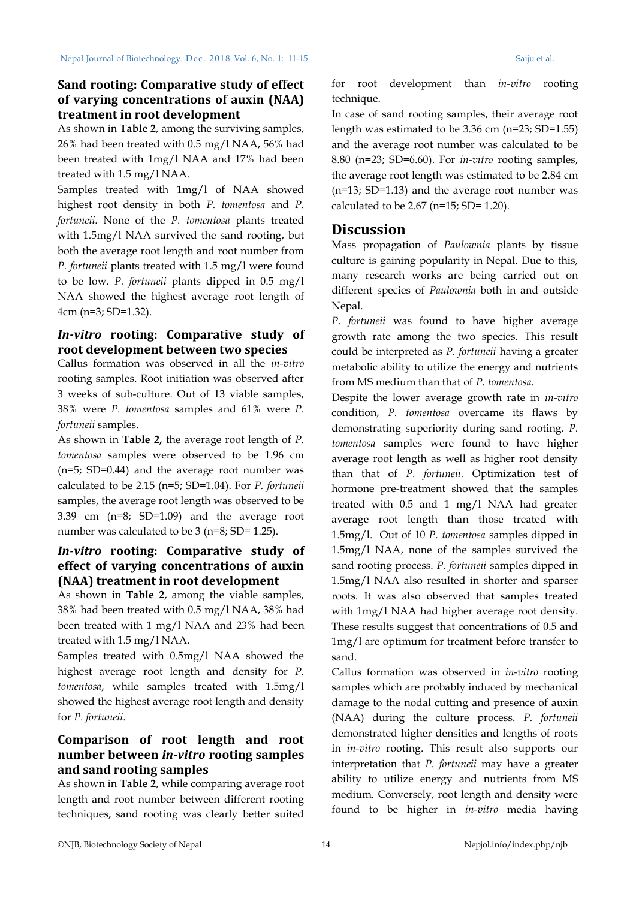# **Sand rooting: Comparative study of effect of varying concentrations of auxin (NAA) treatment in root development**

As shown in **Table 2**, among the surviving samples, 26% had been treated with 0.5 mg/l NAA, 56% had been treated with 1mg/l NAA and 17% had been treated with 1.5 mg/l NAA.

Samples treated with 1mg/l of NAA showed highest root density in both *P. tomentosa* and *P. fortuneii*. None of the *P. tomentosa* plants treated with 1.5mg/l NAA survived the sand rooting, but both the average root length and root number from *P. fortuneii* plants treated with 1.5 mg/l were found to be low. *P. fortuneii* plants dipped in 0.5 mg/l NAA showed the highest average root length of 4cm (n=3; SD=1.32).

## *In-vitro* **rooting: Comparative study of root development between two species**

Callus formation was observed in all the *in-vitro* rooting samples. Root initiation was observed after 3 weeks of sub-culture. Out of 13 viable samples, 38% were *P. tomentosa* samples and 61% were *P. fortuneii* samples.

As shown in **Table 2,** the average root length of *P. tomentosa* samples were observed to be 1.96 cm (n=5; SD=0.44) and the average root number was calculated to be 2.15 (n=5; SD=1.04). For *P. fortuneii*  samples, the average root length was observed to be 3.39 cm (n=8; SD=1.09) and the average root number was calculated to be 3 (n=8; SD= 1.25).

# *In-vitro* **rooting: Comparative study of effect of varying concentrations of auxin (NAA) treatment in root development**

As shown in **Table 2**, among the viable samples, 38% had been treated with 0.5 mg/l NAA, 38% had been treated with 1 mg/l NAA and 23% had been treated with 1.5 mg/l NAA.

Samples treated with 0.5mg/l NAA showed the highest average root length and density for *P. tomentosa*, while samples treated with 1.5mg/l showed the highest average root length and density for *P. fortuneii*.

# **Comparison of root length and root number between** *in-vitro* **rooting samples and sand rooting samples**

As shown in **Table 2**, while comparing average root length and root number between different rooting techniques, sand rooting was clearly better suited

for root development than *in-vitro* rooting technique.

In case of sand rooting samples, their average root length was estimated to be 3.36 cm (n=23; SD=1.55) and the average root number was calculated to be 8.80 (n=23; SD=6.60). For *in-vitro* rooting samples, the average root length was estimated to be 2.84 cm (n=13; SD=1.13) and the average root number was calculated to be  $2.67$  (n=15; SD= 1.20).

# **Discussion**

Mass propagation of *Paulownia* plants by tissue culture is gaining popularity in Nepal. Due to this, many research works are being carried out on different species of *Paulownia* both in and outside Nepal*.*

*P. fortuneii* was found to have higher average growth rate among the two species. This result could be interpreted as *P. fortuneii* having a greater metabolic ability to utilize the energy and nutrients from MS medium than that of *P. tomentosa.* 

Despite the lower average growth rate in *in-vitro* condition, *P. tomentosa* overcame its flaws by demonstrating superiority during sand rooting. *P. tomentosa* samples were found to have higher average root length as well as higher root density than that of *P. fortuneii.* Optimization test of hormone pre-treatment showed that the samples treated with 0.5 and 1 mg/l NAA had greater average root length than those treated with 1.5mg/l. Out of 10 *P. tomentosa* samples dipped in 1.5mg/l NAA, none of the samples survived the sand rooting process. *P. fortuneii* samples dipped in 1.5mg/l NAA also resulted in shorter and sparser roots. It was also observed that samples treated with 1mg/l NAA had higher average root density. These results suggest that concentrations of 0.5 and 1mg/l are optimum for treatment before transfer to sand.

Callus formation was observed in *in-vitro* rooting samples which are probably induced by mechanical damage to the nodal cutting and presence of auxin (NAA) during the culture process. *P. fortuneii*  demonstrated higher densities and lengths of roots in *in-vitro* rooting. This result also supports our interpretation that *P. fortuneii* may have a greater ability to utilize energy and nutrients from MS medium. Conversely, root length and density were found to be higher in *in-vitro* media having